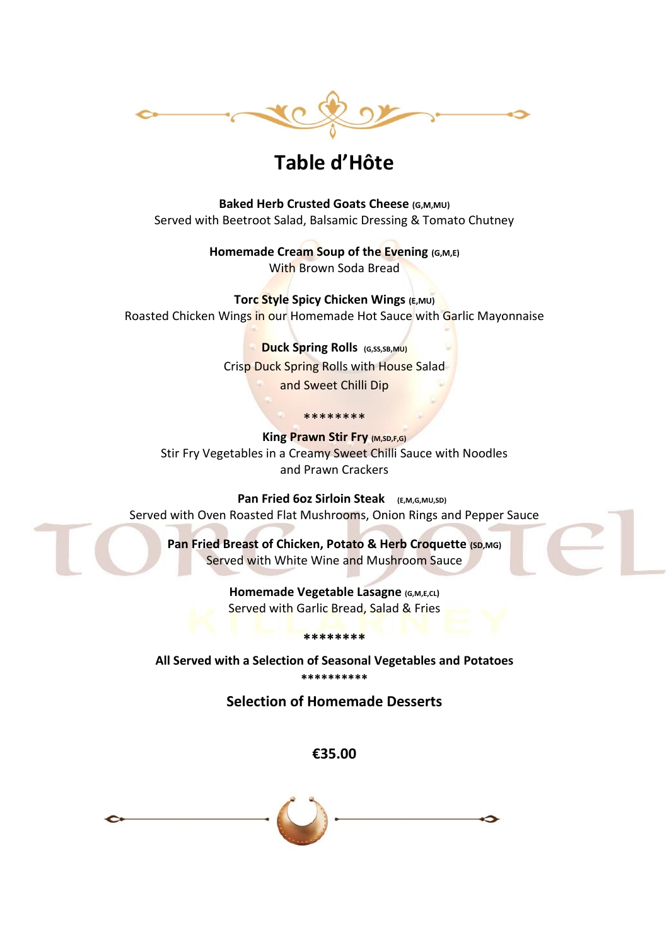

## Table d'Hôte

Baked Herb Crusted Goats Cheese (G,M,MU) Served with Beetroot Salad, Balsamic Dressing & Tomato Chutney

> Homemade Cream Soup of the Evening (G,M,E) With Brown Soda Bread

Torc Style Spicy Chicken Wings (E,MU) Roasted Chicken Wings in our Homemade Hot Sauce with Garlic Mayonnaise

> **Duck Spring Rolls** (G,SS,SB,MU) Crisp Duck Spring Rolls with House Salad and Sweet Chilli Dip

King Prawn Stir Fry (M,SD,F,G) Stir Fry Vegetables in a Creamy Sweet Chilli Sauce with Noodles and Prawn Crackers

\*\*\*\*\*\*\*\*

Pan Fried 60z Sirloin Steak (E,M,G,MU,SD) Served with Oven Roasted Flat Mushrooms, Onion Rings and Pepper Sauce

Pan Fried Breast of Chicken, Potato & Herb Croquette (SD,MG) Served with White Wine and Mushroom Sauce

> Homemade Vegetable Lasagne (G,M,E,CL) Served with Garlic Bread, Salad & Fries

> > \*\*\*\*\*\*\*\*

All Served with a Selection of Seasonal Vegetables and Potatoes \*\*\*\*\*\*\*\*\*\*

**Selection of Homemade Desserts** 

€35.00